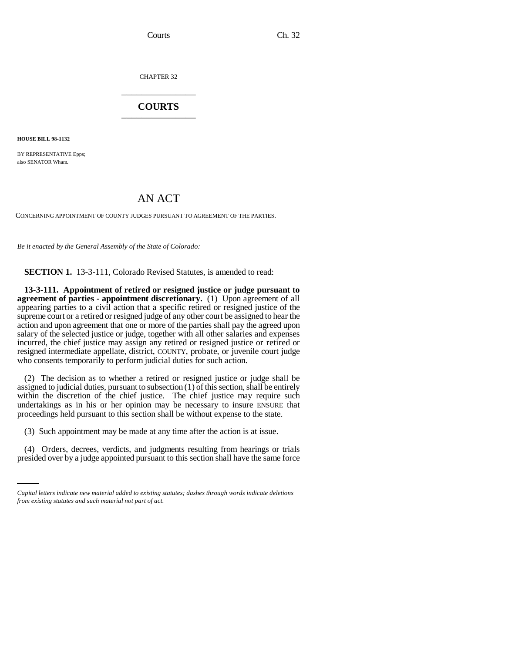Courts Ch. 32

CHAPTER 32 \_\_\_\_\_\_\_\_\_\_\_\_\_\_\_

## **COURTS** \_\_\_\_\_\_\_\_\_\_\_\_\_\_\_

**HOUSE BILL 98-1132**

BY REPRESENTATIVE Epps: also SENATOR Wham.

## AN ACT

CONCERNING APPOINTMENT OF COUNTY JUDGES PURSUANT TO AGREEMENT OF THE PARTIES.

*Be it enacted by the General Assembly of the State of Colorado:*

**SECTION 1.** 13-3-111, Colorado Revised Statutes, is amended to read:

**13-3-111. Appointment of retired or resigned justice or judge pursuant to agreement of parties - appointment discretionary.** (1) Upon agreement of all appearing parties to a civil action that a specific retired or resigned justice of the supreme court or a retired or resigned judge of any other court be assigned to hear the action and upon agreement that one or more of the parties shall pay the agreed upon salary of the selected justice or judge, together with all other salaries and expenses incurred, the chief justice may assign any retired or resigned justice or retired or resigned intermediate appellate, district, COUNTY, probate, or juvenile court judge who consents temporarily to perform judicial duties for such action.

(2) The decision as to whether a retired or resigned justice or judge shall be assigned to judicial duties, pursuant to subsection (1) of this section, shall be entirely within the discretion of the chief justice. The chief justice may require such undertakings as in his or her opinion may be necessary to insure ENSURE that proceedings held pursuant to this section shall be without expense to the state.

(3) Such appointment may be made at any time after the action is at issue.

 (4) Orders, decrees, verdicts, and judgments resulting from hearings or trials presided over by a judge appointed pursuant to this section shall have the same force

*Capital letters indicate new material added to existing statutes; dashes through words indicate deletions from existing statutes and such material not part of act.*